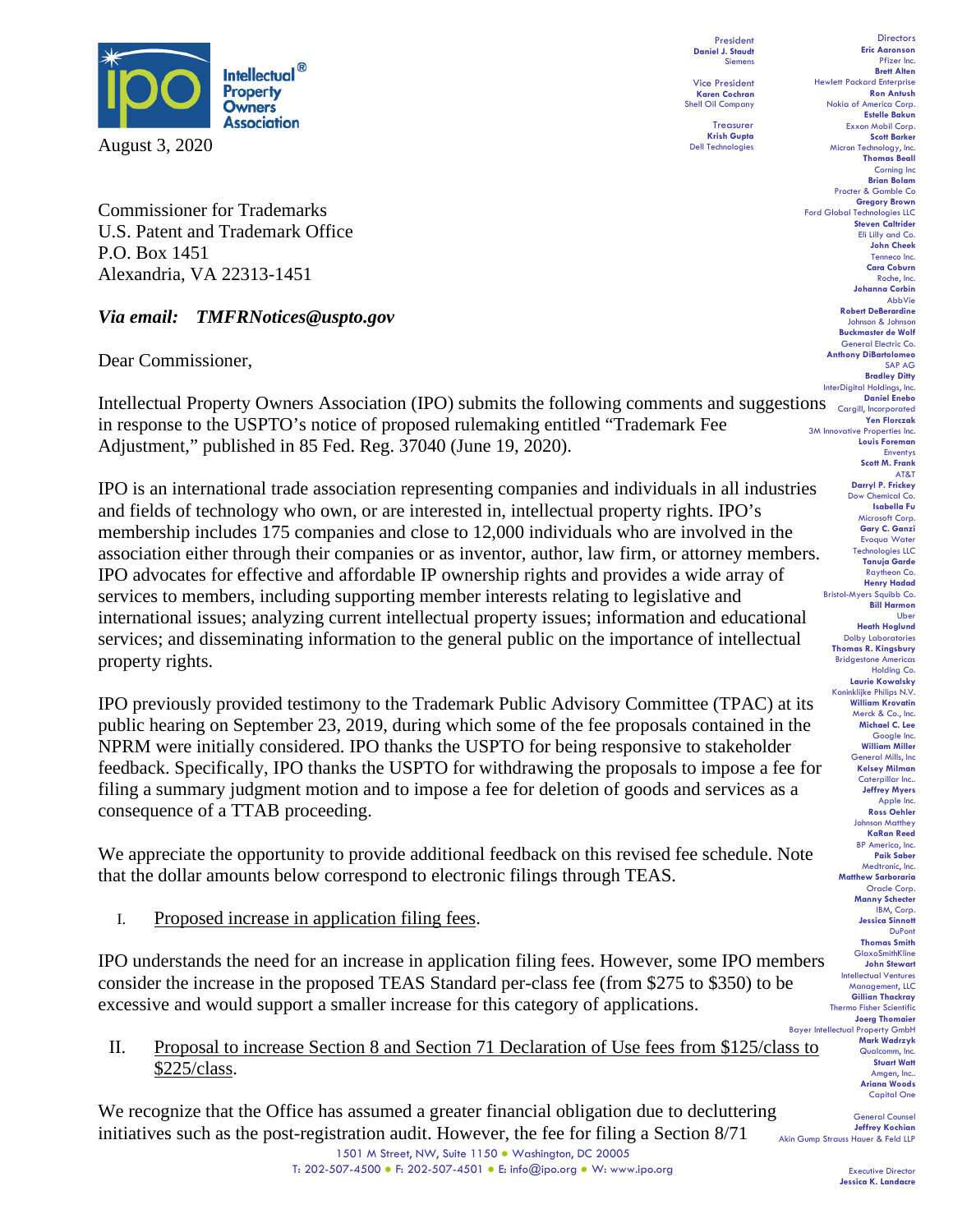

Commissioner for Trademarks U.S. Patent and Trademark Office P.O. Box 1451 Alexandria, VA 22313-1451

*Via email: TMFRNotices@uspto.gov*

Dear Commissioner,

Intellectual Property Owners Association (IPO) submits the following comments and suggestions **Daniel Enebo** in response to the USPTO's notice of proposed rulemaking entitled "Trademark Fee Adjustment," published in 85 Fed. Reg. 37040 (June 19, 2020).

IPO is an international trade association representing companies and individuals in all industries and fields of technology who own, or are interested in, intellectual property rights. IPO's membership includes 175 companies and close to 12,000 individuals who are involved in the association either through their companies or as inventor, author, law firm, or attorney members. IPO advocates for effective and affordable IP ownership rights and provides a wide array of services to members, including supporting member interests relating to legislative and international issues; analyzing current intellectual property issues; information and educational services; and disseminating information to the general public on the importance of intellectual property rights.

IPO previously provided testimony to the Trademark Public Advisory Committee (TPAC) at its public hearing on September 23, 2019, during which some of the fee proposals contained in the NPRM were initially considered. IPO thanks the USPTO for being responsive to stakeholder feedback. Specifically, IPO thanks the USPTO for withdrawing the proposals to impose a fee for filing a summary judgment motion and to impose a fee for deletion of goods and services as a consequence of a TTAB proceeding.

We appreciate the opportunity to provide additional feedback on this revised fee schedule. Note that the dollar amounts below correspond to electronic filings through TEAS.

I. Proposed increase in application filing fees.

IPO understands the need for an increase in application filing fees. However, some IPO members consider the increase in the proposed TEAS Standard per-class fee (from \$275 to \$350) to be excessive and would support a smaller increase for this category of applications.

II. Proposal to increase Section 8 and Section 71 Declaration of Use fees from \$125/class to \$225/class.

We recognize that the Office has assumed a greater financial obligation due to decluttering initiatives such as the post-registration audit. However, the fee for filing a Section 8/71

President **Daniel J. Staudt** Siemens Vice President **Karen Cochran**

Shell Oil Company Treasurer **Krish Gupta**

Dell Technologies

**Directors Eric Aaronson**  Pfizer Inc. **Brett Alten** Hewlett Packard Enterprise **Ron Antush** Nokia of America Corp. **Estelle Bakun** Exxon Mobil Corp. **Scott Barker** Micron Technology, Inc. **Thomas Beall** Corning Inc **Brian Bolam** Procter & Gamble Co **Gregory Brown** Ford Global Technologies LLC **Steven Caltrider** Eli Lilly and Co. **John Cheek** Tenneco Inc. **Cara Coburn** Roche, Inc. **Johanna Corbin** AbbVie **Robert DeBerardine** Johnson & Johnson **Buckmaster de Wolf** General Electric Co. **Anthony DiBartolomeo** SAP AG **Bradley Ditty** InterDigital Holdings, Inc. **Yen Florczak** 3M Innovative Properties Inc. **Louis Foreman** Enventys **Scott M. Frank** AT&T **Darryl P. Frickey** Dow Chemical Co. **Isabella Fu**  Microsoft Corp. **Gary C. Ganzi** Evoqua Water Technologies LLC **Tanuja Garde** Raytheon Co. **Henry Hadad** Bristol-Myers Squibb Co. **Bill Harmon** Uber **Heath Hoglund** Dolby Laboratories **Thomas R. Kingsbury Bridgestone America** Holding Co. **Laurie Kowalsky** Koninklijke Philips N.V. **William Krovatin** Merck & Co., Inc. **Michael C. Lee** Google Inc. **William Miller** General Mills, Inc **Kelsey Milman** Caterpillar Inc.. **Jeffrey Myers** Apple Inc. **Ross Oehler** Johnson Matthey **KaRan Reed** BP America, Inc. **Paik Saber** Medtronic, Inc. **Matthew Sarboraria** Oracle Corp. **Manny Schecter** ..,<br>IBM, Corp. **Jessica Sinnott** DuPont **Thomas Smith** GlaxoSmithKline **John Stewart** Intellectual Ventures Management, LLC **Gillian Thackray** Thermo Fisher Scientific **Joerg Thomaier** Bayer Intellectual Property GmbH **Mark Wadrzyk** Qualcomm, Inc. **Stuart Watt** Amgen, Inc.. **Ariana Woods** Capital One

**General Corn Jeffrey Kochian** Akin Gump Strauss Hauer & Feld LLP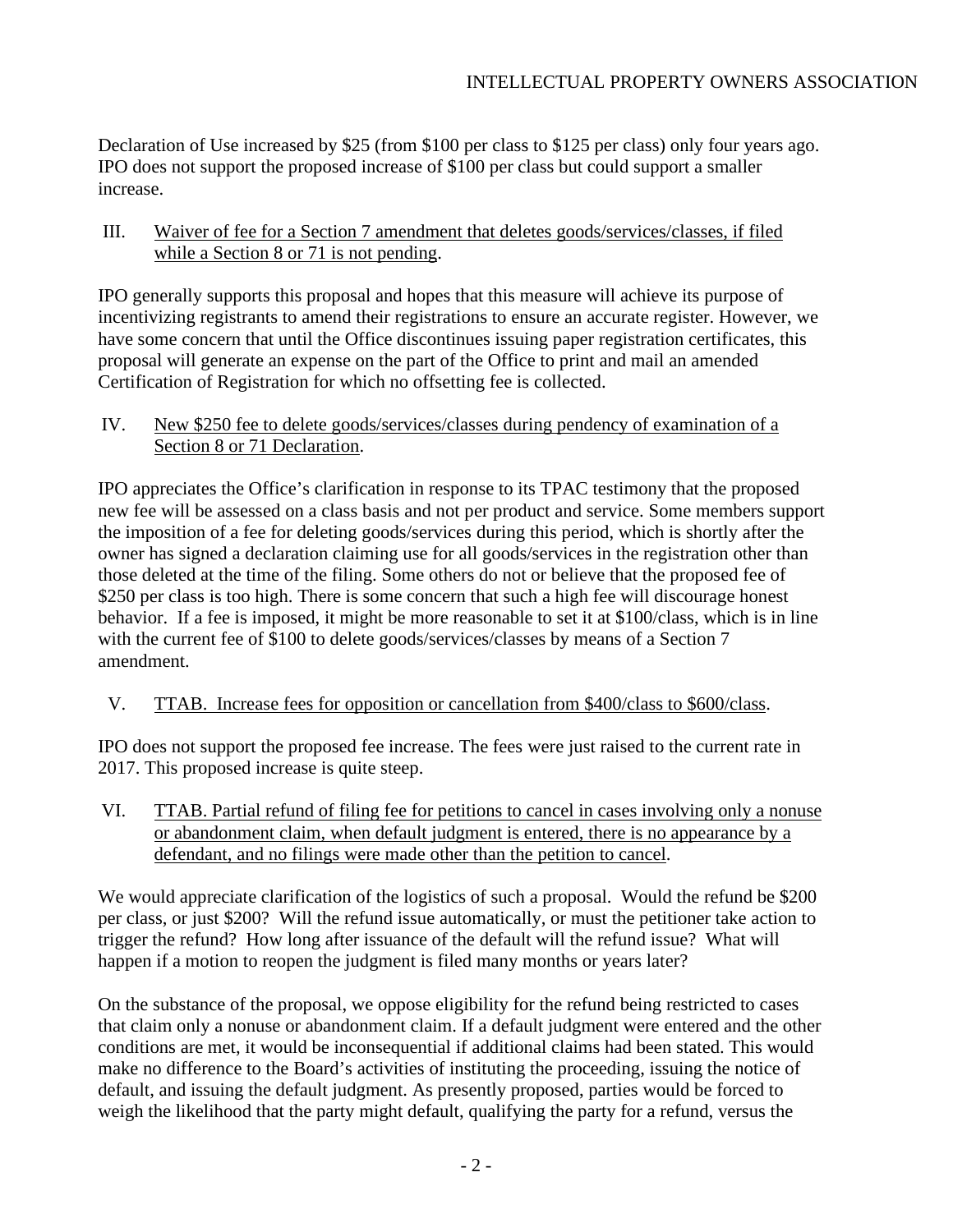Declaration of Use increased by \$25 (from \$100 per class to \$125 per class) only four years ago. IPO does not support the proposed increase of \$100 per class but could support a smaller increase.

### III. Waiver of fee for a Section 7 amendment that deletes goods/services/classes, if filed while a Section 8 or 71 is not pending.

IPO generally supports this proposal and hopes that this measure will achieve its purpose of incentivizing registrants to amend their registrations to ensure an accurate register. However, we have some concern that until the Office discontinues issuing paper registration certificates, this proposal will generate an expense on the part of the Office to print and mail an amended Certification of Registration for which no offsetting fee is collected.

# IV. New \$250 fee to delete goods/services/classes during pendency of examination of a Section 8 or 71 Declaration.

IPO appreciates the Office's clarification in response to its TPAC testimony that the proposed new fee will be assessed on a class basis and not per product and service. Some members support the imposition of a fee for deleting goods/services during this period, which is shortly after the owner has signed a declaration claiming use for all goods/services in the registration other than those deleted at the time of the filing. Some others do not or believe that the proposed fee of \$250 per class is too high. There is some concern that such a high fee will discourage honest behavior. If a fee is imposed, it might be more reasonable to set it at \$100/class, which is in line with the current fee of \$100 to delete goods/services/classes by means of a Section 7 amendment.

# V. TTAB. Increase fees for opposition or cancellation from \$400/class to \$600/class.

IPO does not support the proposed fee increase. The fees were just raised to the current rate in 2017. This proposed increase is quite steep.

VI. TTAB. Partial refund of filing fee for petitions to cancel in cases involving only a nonuse or abandonment claim, when default judgment is entered, there is no appearance by a defendant, and no filings were made other than the petition to cancel.

We would appreciate clarification of the logistics of such a proposal. Would the refund be \$200 per class, or just \$200? Will the refund issue automatically, or must the petitioner take action to trigger the refund? How long after issuance of the default will the refund issue? What will happen if a motion to reopen the judgment is filed many months or years later?

On the substance of the proposal, we oppose eligibility for the refund being restricted to cases that claim only a nonuse or abandonment claim. If a default judgment were entered and the other conditions are met, it would be inconsequential if additional claims had been stated. This would make no difference to the Board's activities of instituting the proceeding, issuing the notice of default, and issuing the default judgment. As presently proposed, parties would be forced to weigh the likelihood that the party might default, qualifying the party for a refund, versus the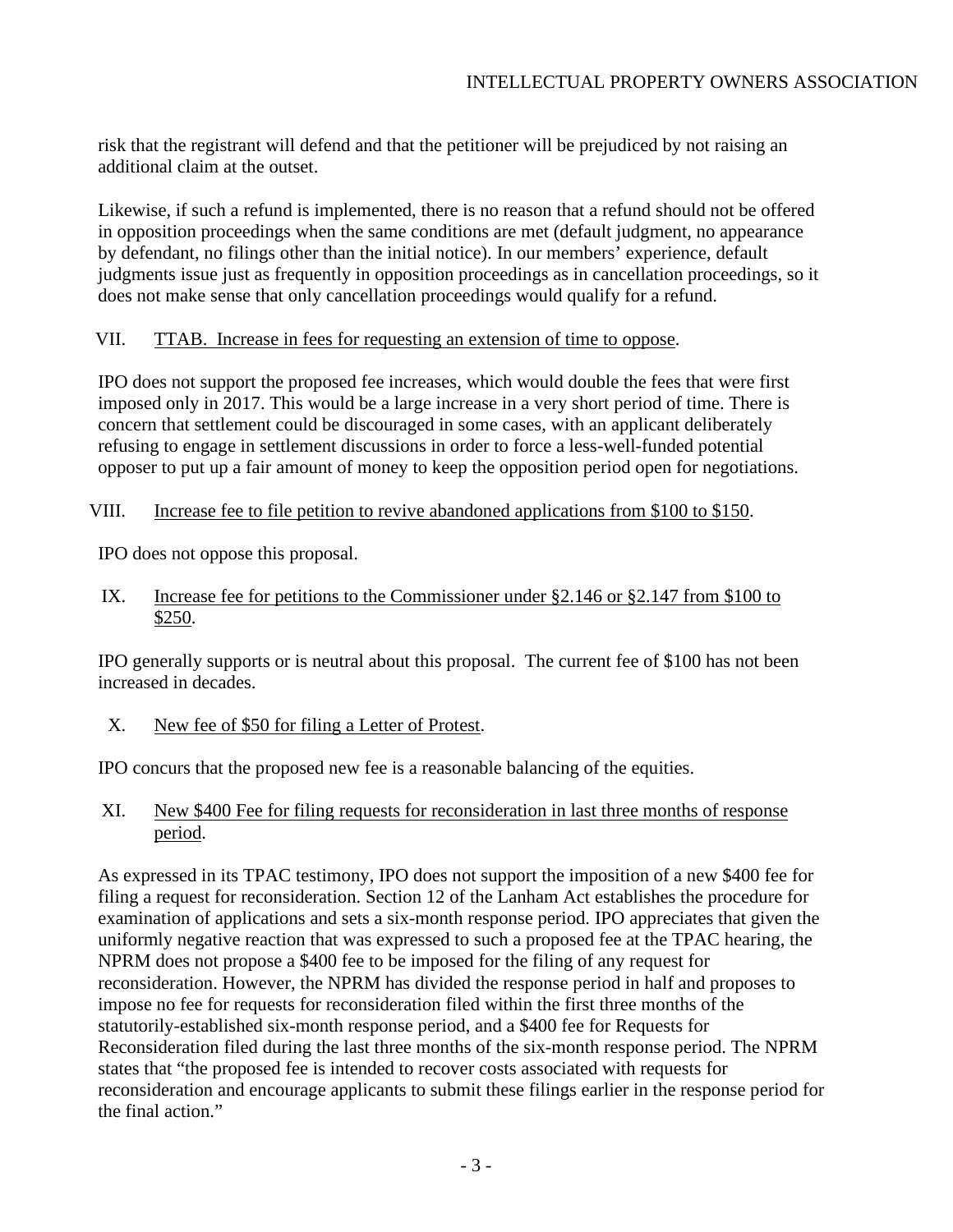risk that the registrant will defend and that the petitioner will be prejudiced by not raising an additional claim at the outset.

Likewise, if such a refund is implemented, there is no reason that a refund should not be offered in opposition proceedings when the same conditions are met (default judgment, no appearance by defendant, no filings other than the initial notice). In our members' experience, default judgments issue just as frequently in opposition proceedings as in cancellation proceedings, so it does not make sense that only cancellation proceedings would qualify for a refund.

# VII. TTAB. Increase in fees for requesting an extension of time to oppose.

IPO does not support the proposed fee increases, which would double the fees that were first imposed only in 2017. This would be a large increase in a very short period of time. There is concern that settlement could be discouraged in some cases, with an applicant deliberately refusing to engage in settlement discussions in order to force a less-well-funded potential opposer to put up a fair amount of money to keep the opposition period open for negotiations.

### VIII. Increase fee to file petition to revive abandoned applications from \$100 to \$150.

IPO does not oppose this proposal.

IX. Increase fee for petitions to the Commissioner under §2.146 or §2.147 from \$100 to \$250.

IPO generally supports or is neutral about this proposal. The current fee of \$100 has not been increased in decades.

X. New fee of \$50 for filing a Letter of Protest.

IPO concurs that the proposed new fee is a reasonable balancing of the equities.

XI. New \$400 Fee for filing requests for reconsideration in last three months of response period.

As expressed in its TPAC testimony, IPO does not support the imposition of a new \$400 fee for filing a request for reconsideration. Section 12 of the Lanham Act establishes the procedure for examination of applications and sets a six-month response period. IPO appreciates that given the uniformly negative reaction that was expressed to such a proposed fee at the TPAC hearing, the NPRM does not propose a \$400 fee to be imposed for the filing of any request for reconsideration. However, the NPRM has divided the response period in half and proposes to impose no fee for requests for reconsideration filed within the first three months of the statutorily-established six-month response period, and a \$400 fee for Requests for Reconsideration filed during the last three months of the six-month response period. The NPRM states that "the proposed fee is intended to recover costs associated with requests for reconsideration and encourage applicants to submit these filings earlier in the response period for the final action."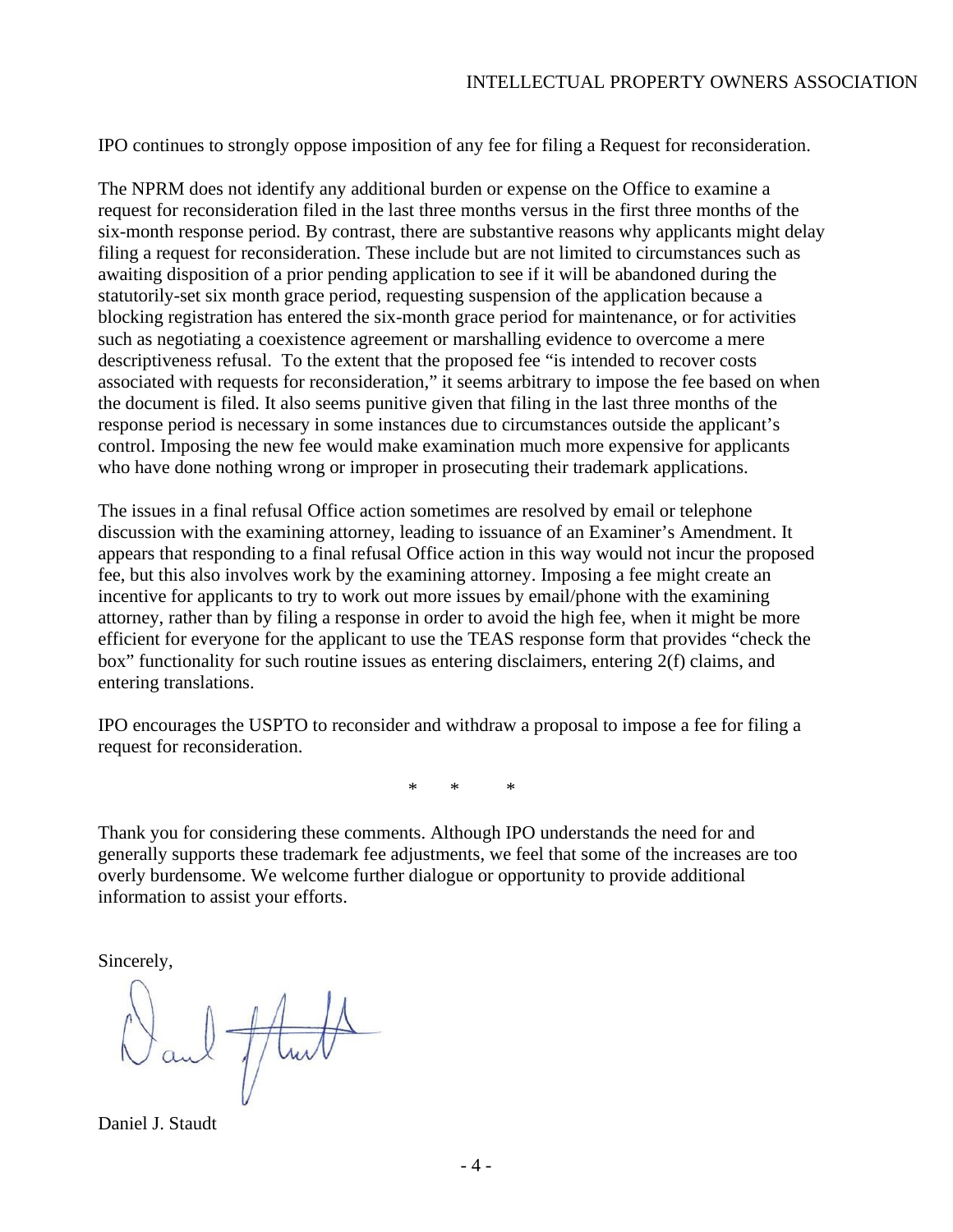IPO continues to strongly oppose imposition of any fee for filing a Request for reconsideration.

The NPRM does not identify any additional burden or expense on the Office to examine a request for reconsideration filed in the last three months versus in the first three months of the six-month response period. By contrast, there are substantive reasons why applicants might delay filing a request for reconsideration. These include but are not limited to circumstances such as awaiting disposition of a prior pending application to see if it will be abandoned during the statutorily-set six month grace period, requesting suspension of the application because a blocking registration has entered the six-month grace period for maintenance, or for activities such as negotiating a coexistence agreement or marshalling evidence to overcome a mere descriptiveness refusal. To the extent that the proposed fee "is intended to recover costs associated with requests for reconsideration," it seems arbitrary to impose the fee based on when the document is filed. It also seems punitive given that filing in the last three months of the response period is necessary in some instances due to circumstances outside the applicant's control. Imposing the new fee would make examination much more expensive for applicants who have done nothing wrong or improper in prosecuting their trademark applications.

The issues in a final refusal Office action sometimes are resolved by email or telephone discussion with the examining attorney, leading to issuance of an Examiner's Amendment. It appears that responding to a final refusal Office action in this way would not incur the proposed fee, but this also involves work by the examining attorney. Imposing a fee might create an incentive for applicants to try to work out more issues by email/phone with the examining attorney, rather than by filing a response in order to avoid the high fee, when it might be more efficient for everyone for the applicant to use the TEAS response form that provides "check the box" functionality for such routine issues as entering disclaimers, entering 2(f) claims, and entering translations.

IPO encourages the USPTO to reconsider and withdraw a proposal to impose a fee for filing a request for reconsideration.

\* \* \*

Thank you for considering these comments. Although IPO understands the need for and generally supports these trademark fee adjustments, we feel that some of the increases are too overly burdensome. We welcome further dialogue or opportunity to provide additional information to assist your efforts.

Sincerely,

el flui

Daniel J. Staudt